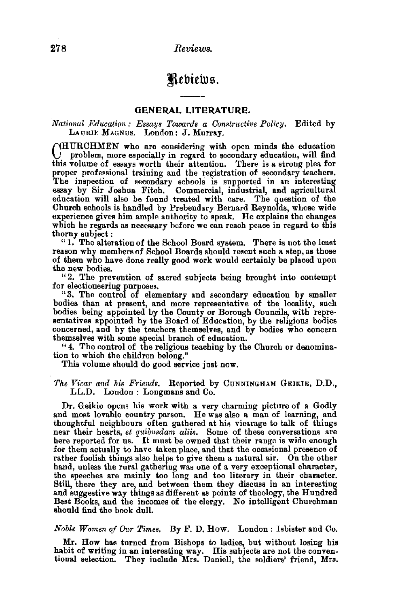278 *Reviews.* 

# Rebiews.

## GENERAL LITERATURE.

#### *National Education: Essays Towards a Constructive Policy.* Edited by LAURIE MAGNUS. London: J. Murray.

C HURCHMEN who are considering with open minds the education problem, more especially in regard to secondary education, will find this volume of essays worth their attention. There is a strong plea for proper professional training and the registration of secondary teachers. The inspection of secondary schools is supported in an interesting essay by Sir Joshua Fitch. Commercial, industrial, and agricultural education will also be found treated with care. The question of the Church schools is handled by Prebendary Bernard Reynolds, whose wide experience gives him ample authority to speak. He explains the changes which he regards as necessary before we can reach peace in regard to this thorny subject:

"1. The alteration of the School Board system. There is not the least reason why members of School Boards should resent such a step, as those of them who have done really good work would certainly be placed upon the new bodies.

"2. The prevention of sacred subjects being brought into contempt for electioneering purposes.

"3. The control of elementary and secondary education by smaller bodies than at present, and more representative of the locality, such bodies being appointed by the County or Borough Councils, with representatives appointed by the Board of Education, by the religious bodies concerned, and by the teachers themselves, and by bodies who concern themselves with some special branch of education.

" 4. The control of the religions teaching by the Church or denomina. tion to which the children belong."

This volume should do good service just now.

The Vicar and his Friends. Reported by CUNNINGHAM GEIKIE, D.D., LL.D. London : Longmans and Co.

Dr. Geikie opens his work with a very charming picture of a Godly and most lovable country parson. He was also a man of learning, and thoughtful neighbours often gathered at his vicarage to talk of things near their hearts, *et quibusdam aliis.* Some of these conversations are here reported for us. It must be owned that their range is wide enough for them actually to have taken place, and that the occasional presence of rather foolish things also helps to give them a natural air. On the other hand, unless the rural gathering was one of a very exceptional character, the speeches are mainly too long and too literary in their character. Still, there they are, and between them they discuss in an interesting and suggestive way things as different as points of theology, the Hundred Best Books, and the incomes of the clergy. No intelligent Churchman should find the book dull.

*Noble Women of Our Times.* By F. D. How. London : Isbister and Co.

Mr. How has turned from Bishops to ladies, but without losing his habit of writing in an interesting way. His subjects are not the conven- tional selection. They include Mrs. Daniell, the soldiers' friend, Mrs.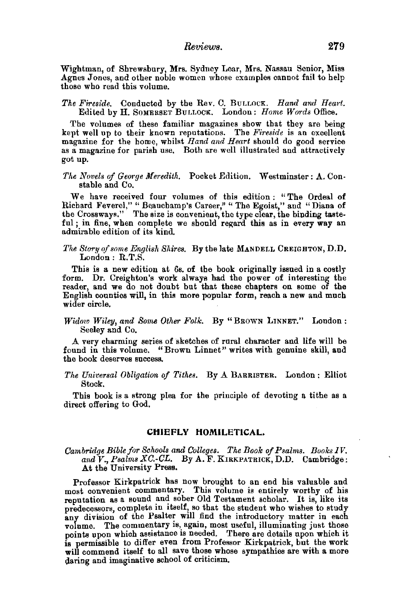Wightman, of Shrewsbury, Mrs. Sydney Lear, Mrs. Nassau Senior, Miss Agnes Jones, and other noble women whose examples cannot fail to help those who read this volume.

#### The Fireside. Conducted by the Rev. C. BULLOCK. *Hand and Heart*. Edited by H. SOMERSET BULLOCK. London: *Home Words* Office.

The volumes of these familiar magazines show that they are being kept well up to their known reputations. The *Fireside* is an excellent magazine for the home, whilst *Hand and Heart* should do good service as a magazine for parish use. Both are well illustrated and attractively got up.

#### The Novels of George Meredith. Pocket Edition. Westminster: A. Constable and Co.

We have received four volumes of this edition: "The Ordeal of Richard Feverel," " Beauchamp's Career," " The Egoist," and "Diana of the Crossways." The size is convenient, the type clear, the binding tasteful; in fine, when complete we should regard this as in every way an admirable edition of its kind.

#### *The Story of some English Shires.* By the late MANDELL CREIGHTON, D.D. London: R.T.S.

This is a new edition at 6s. of the book originally issued in a costly form. Dr. Creighton's work always had the power of interesting the reader, and we do not doubt but that these chapters on some of the English counties will, in this more popular form, reach a new and much wider circle.

# *Widow Wiley, and Some Other Folk.* By "BROWN LINNET." London : Seeley and Co.

A very charming series of sketches of rural character and life will be found in this volume. "Brown Linnet" writes with genuine skill, and the book deserves success.

#### *The Universal Obligation of Tithes.* By A BARRISTER, London : Elliot Stock,

This book is a strong plea for the principle of devoting a tithe as a direct offering to God.

#### **CHIEFLY HOMILETICAL.**

#### *Cambridge Bible for Schools and Colleges. The Book of Psalrns. Books IV. and* V., *Psalms XC.-CL.* By A. F. KIRKPATRICK, D.D. Cambridge: At the University Press.

Professor Kirkpatrick has now brought to an end his valuable and most convenient commentary. This volume is entirely worthy of his reputation as a sound and sober Old Testament scholar. It is, like its predecessors, complete in itself, so that the student who wishes to study any division of the Psalter will find the introductory matter in each volume. The commentary is, again, most useful, illuminating just those points upon which assistance is needed, There are details upon which it is permissible to differ even from Professor Kirkpatrick, but the work will commend itself to all save those whose sympathies are with a more daring and imaginative school of criticism.